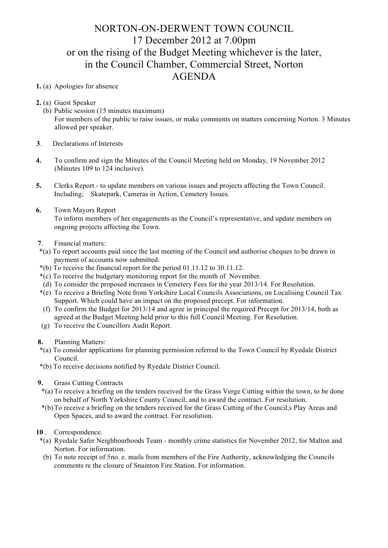## NORTON-ON-DERWENT TOWN COUNCIL 17 December 2012 at 7.00pm or on the rising of the Budget Meeting whichever is the later, in the Council Chamber, Commercial Street, Norton AGENDA

- **1.** (a) Apologies for absence
- **2.** (a) Guest Speaker
	- (b) Public session (15 minutes maximum) For members of the public to raise issues, or make comments on matters concerning Norton. 3 Minutes allowed per speaker.
- **3**. Declarations of Interests
- **4.** To confirm and sign the Minutes of the Council Meeting held on Monday, 19 November 2012 (Minutes 109 to 124 inclusive).
- **5.** Clerks Report to update members on various issues and projects affecting the Town Council. Including; Skatepark, Cameras in Action, Cemetery Issues.
- **6.** Town Mayors Report

 To inform members of her engagements as the Council's representative, and update members on ongoing projects affecting the Town.

- **7**. Financial matters:
- \*(a) To report accounts paid since the last meeting of the Council and authorise cheques to be drawn in payment of accounts now submitted.
- \*(b) To receive the financial report for the period 01.11.12 to 30.11.12.
- \*(c) To receive the budgetary monitoring report for the month of November.
- (d) To consider the proposed increases in Cemetery Fees for the year 2013/14. For Resolution.
- \*(e) To receive a Briefing Note from Yorkshire Local Councils Associations, on Localising Council Tax Support. Which could have an impact on the proposed precept. For information.
- (f) To confirm the Budget for 2013/14 and agree in principal the required Precept for 2013/14, both as agreed at the Budget Meeting held prior to this full Council Meeting. For Resolution.
- (g) To receive the Councillors Audit Report.
- **8.** Planning Matters:
- \*(a) To consider applications for planning permission referred to the Town Council by Ryedale District Council.
- \*(b) To receive decisions notified by Ryedale District Council.
- **9.** Grass Cutting Contracts
- \*(a) To receive a briefing on the tenders received for the Grass Verge Cutting within the town, to be done on behalf of North Yorkshire County Council, and to award the contract. For resolution.
- \*(b)To receive a briefing on the tenders received for the Grass Cutting of the Council,s Play Areas and Open Spaces, and to award the contract. For resolution.
- **10** . Correspondence.
- \*(a) Ryedale Safer Neighbourhoods Team monthly crime statistics for November 2012, for Malton and Norton. For information.
- (b) To note receipt of 5no. e. mails from members of the Fire Authority, acknowledging the Councils comments re the closure of Snainton Fire Station. For information.